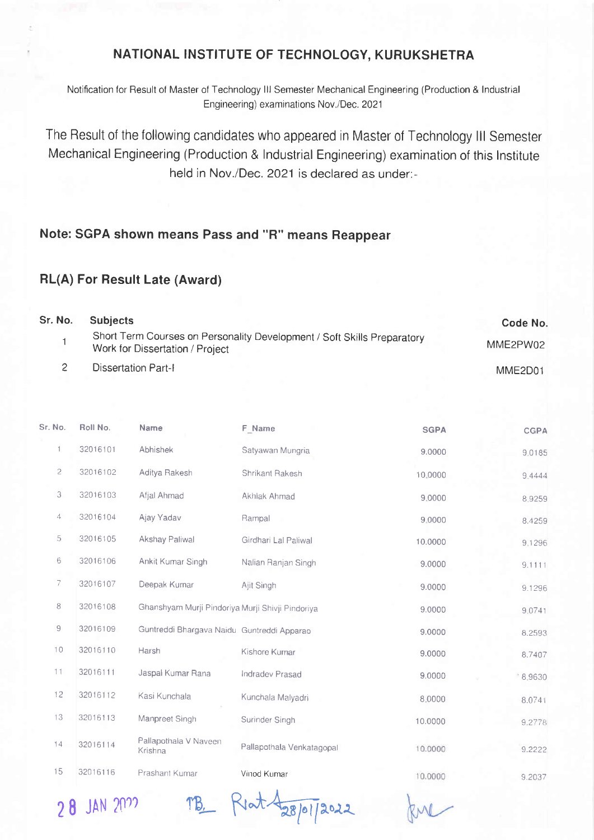## NATIONAL INSTITUTE OF TECHNOLOGY, KURUKSHETRA

Notification for Result of Master of Technology lll Semester Mechanical Engineering (Production & lndustrial Engineering) examinations Nov./Dec. 2021

The Result of the following candidates who appeared in Master of Technology lll Semester Mechanical Engineering (Production & lndustrial Engineering) examination of this lnstitute held in Nov./Dec. 2021 is declared as under:-

## Note: SGPA shown means Pass and "R" means Reappear

## RL(A) For Result Late (Award)

| Sr. No. | <b>Subjects</b>                                                                                            | Code No.                         |
|---------|------------------------------------------------------------------------------------------------------------|----------------------------------|
|         | Short Term Courses on Personality Development / Soft Skills Preparatory<br>Work for Dissertation / Project | MME2PW02                         |
|         | Dissertation Part-I                                                                                        | MME <sub>2</sub> D <sub>01</sub> |

| Sr. No.     | Roll No. | <b>Name</b>                                      | F. Name                   | <b>SGPA</b> | <b>CGPA</b> |
|-------------|----------|--------------------------------------------------|---------------------------|-------------|-------------|
| 1           | 32016101 | Abhishek                                         | Satyawan Mungria          | 9.0000      | 9,0185      |
| 2           | 32016102 | Aditya Rakesh                                    | Shrikant Rakesh           | 10,0000     | 9,4444      |
| 3           | 32016103 | Afjal Ahmad                                      | Akhlak Ahmad              | 9.0000      | 8,9259      |
| 4           | 32016104 | Ajay Yadav                                       | Rampal                    | 9.0000      | 8.4259      |
| 5           | 32016105 | <b>Akshay Paliwal</b>                            | Girdhari Lal Paliwal      | 10.0000     | 9,1296      |
| 6           | 32016106 | Ankit Kumar Singh                                | Nalian Ranjan Singh       | 9.0000      | 9.1111      |
| 7           | 32016107 | Deepak Kumar                                     | Ajit Singh                | 9.0000      | 9.1296      |
| 8           | 32016108 | Ghanshyam Murji Pindoriya Murji Shivji Pindoriya |                           | 9.0000      | 9.0741      |
| $\mathsf g$ | 32016109 | Guntreddi Bhargava Naidu Guntreddi Apparao       |                           | 9.0000      | 8.2593      |
| 10          | 32016110 | Harsh                                            | Kishore Kumar             | 9.0000      | 8.7407      |
| 11          | 32016111 | Jaspal Kumar Rana                                | <b>Indradev Prasad</b>    | 9.0000      | .89630      |
| 12          | 32016112 | Kasi Kunchala                                    | Kunchala Malyadri         | 8.0000      | 8.0741      |
| 13          | 32016113 | Manpreet Singh                                   | Surinder Singh            | 10.0000     | 9.2778      |
| 14          | 32016114 | Pallapothala V Naveen<br>Krishna                 | Pallapothala Venkatagopal | 10.0000     | 9.2222      |
| 15          | 32016116 | Prashant Kumar                                   | Vinod Kumar               | 10.0000     | 9.2037      |
|             |          |                                                  |                           |             |             |

28 JAN 2022